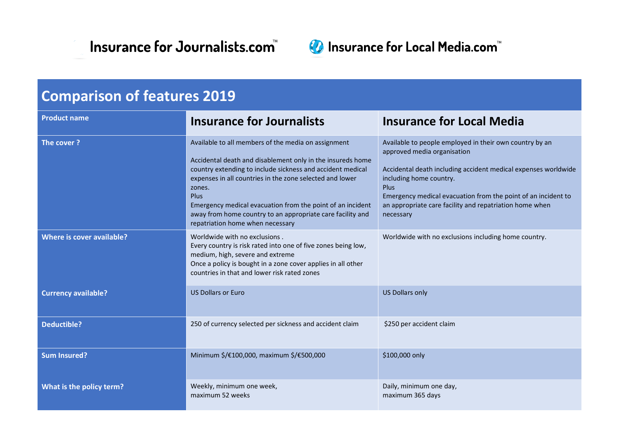



| <b>Comparison of features 2019</b> |                                                                                                                                                                                                                                                                                                                                                                                                                               |                                                                                                                                                                                                                                                                                                                                             |  |
|------------------------------------|-------------------------------------------------------------------------------------------------------------------------------------------------------------------------------------------------------------------------------------------------------------------------------------------------------------------------------------------------------------------------------------------------------------------------------|---------------------------------------------------------------------------------------------------------------------------------------------------------------------------------------------------------------------------------------------------------------------------------------------------------------------------------------------|--|
| <b>Product name</b>                | <b>Insurance for Journalists</b>                                                                                                                                                                                                                                                                                                                                                                                              | <b>Insurance for Local Media</b>                                                                                                                                                                                                                                                                                                            |  |
| The cover?                         | Available to all members of the media on assignment<br>Accidental death and disablement only in the insureds home<br>country extending to include sickness and accident medical<br>expenses in all countries in the zone selected and lower<br>zones.<br>Plus<br>Emergency medical evacuation from the point of an incident<br>away from home country to an appropriate care facility and<br>repatriation home when necessary | Available to people employed in their own country by an<br>approved media organisation<br>Accidental death including accident medical expenses worldwide<br>including home country.<br><b>Plus</b><br>Emergency medical evacuation from the point of an incident to<br>an appropriate care facility and repatriation home when<br>necessary |  |
| Where is cover available?          | Worldwide with no exclusions.<br>Every country is risk rated into one of five zones being low,<br>medium, high, severe and extreme<br>Once a policy is bought in a zone cover applies in all other<br>countries in that and lower risk rated zones                                                                                                                                                                            | Worldwide with no exclusions including home country.                                                                                                                                                                                                                                                                                        |  |
| <b>Currency available?</b>         | <b>US Dollars or Euro</b>                                                                                                                                                                                                                                                                                                                                                                                                     | <b>US Dollars only</b>                                                                                                                                                                                                                                                                                                                      |  |
| <b>Deductible?</b>                 | 250 of currency selected per sickness and accident claim                                                                                                                                                                                                                                                                                                                                                                      | \$250 per accident claim                                                                                                                                                                                                                                                                                                                    |  |
| <b>Sum Insured?</b>                | Minimum \$/€100,000, maximum \$/€500,000                                                                                                                                                                                                                                                                                                                                                                                      | \$100,000 only                                                                                                                                                                                                                                                                                                                              |  |
| What is the policy term?           | Weekly, minimum one week,<br>maximum 52 weeks                                                                                                                                                                                                                                                                                                                                                                                 | Daily, minimum one day,<br>maximum 365 days                                                                                                                                                                                                                                                                                                 |  |